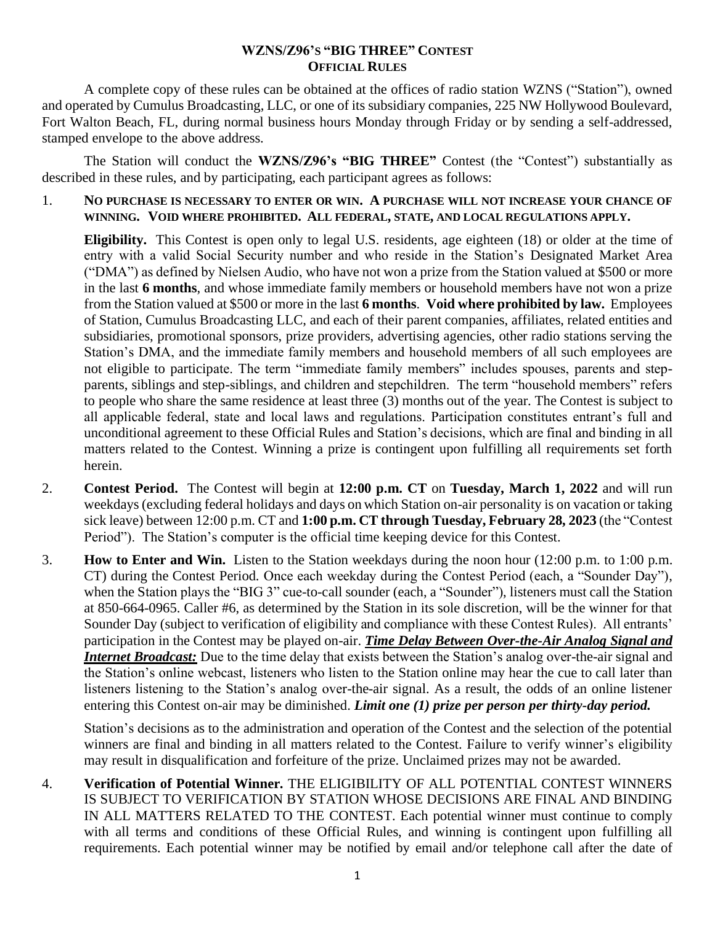## **WZNS/Z96'S "BIG THREE" CONTEST OFFICIAL RULES**

A complete copy of these rules can be obtained at the offices of radio station WZNS ("Station"), owned and operated by Cumulus Broadcasting, LLC, or one of its subsidiary companies, 225 NW Hollywood Boulevard, Fort Walton Beach, FL, during normal business hours Monday through Friday or by sending a self-addressed, stamped envelope to the above address.

The Station will conduct the **WZNS/Z96's "BIG THREE"** Contest (the "Contest") substantially as described in these rules, and by participating, each participant agrees as follows:

1. **NO PURCHASE IS NECESSARY TO ENTER OR WIN. A PURCHASE WILL NOT INCREASE YOUR CHANCE OF WINNING. VOID WHERE PROHIBITED. ALL FEDERAL, STATE, AND LOCAL REGULATIONS APPLY.**

**Eligibility.** This Contest is open only to legal U.S. residents, age eighteen (18) or older at the time of entry with a valid Social Security number and who reside in the Station's Designated Market Area ("DMA") as defined by Nielsen Audio, who have not won a prize from the Station valued at \$500 or more in the last **6 months**, and whose immediate family members or household members have not won a prize from the Station valued at \$500 or more in the last **6 months**. **Void where prohibited by law.** Employees of Station, Cumulus Broadcasting LLC, and each of their parent companies, affiliates, related entities and subsidiaries, promotional sponsors, prize providers, advertising agencies, other radio stations serving the Station's DMA, and the immediate family members and household members of all such employees are not eligible to participate. The term "immediate family members" includes spouses, parents and stepparents, siblings and step-siblings, and children and stepchildren. The term "household members" refers to people who share the same residence at least three (3) months out of the year. The Contest is subject to all applicable federal, state and local laws and regulations. Participation constitutes entrant's full and unconditional agreement to these Official Rules and Station's decisions, which are final and binding in all matters related to the Contest. Winning a prize is contingent upon fulfilling all requirements set forth herein.

- 2. **Contest Period.** The Contest will begin at **12:00 p.m. CT** on **Tuesday, March 1, 2022** and will run weekdays (excluding federal holidays and days on which Station on-air personality is on vacation or taking sick leave) between 12:00 p.m. CT and **1:00 p.m. CT through Tuesday, February 28, 2023** (the "Contest Period"). The Station's computer is the official time keeping device for this Contest.
- 3. **How to Enter and Win.** Listen to the Station weekdays during the noon hour (12:00 p.m. to 1:00 p.m. CT) during the Contest Period. Once each weekday during the Contest Period (each, a "Sounder Day"), when the Station plays the "BIG 3" cue-to-call sounder (each, a "Sounder"), listeners must call the Station at 850-664-0965. Caller #6, as determined by the Station in its sole discretion, will be the winner for that Sounder Day (subject to verification of eligibility and compliance with these Contest Rules). All entrants' participation in the Contest may be played on-air. *Time Delay Between Over-the-Air Analog Signal and Internet Broadcast:* Due to the time delay that exists between the Station's analog over-the-air signal and the Station's online webcast, listeners who listen to the Station online may hear the cue to call later than listeners listening to the Station's analog over-the-air signal. As a result, the odds of an online listener entering this Contest on-air may be diminished. *Limit one (1) prize per person per thirty-day period.*

Station's decisions as to the administration and operation of the Contest and the selection of the potential winners are final and binding in all matters related to the Contest. Failure to verify winner's eligibility may result in disqualification and forfeiture of the prize. Unclaimed prizes may not be awarded.

4. **Verification of Potential Winner.** THE ELIGIBILITY OF ALL POTENTIAL CONTEST WINNERS IS SUBJECT TO VERIFICATION BY STATION WHOSE DECISIONS ARE FINAL AND BINDING IN ALL MATTERS RELATED TO THE CONTEST. Each potential winner must continue to comply with all terms and conditions of these Official Rules, and winning is contingent upon fulfilling all requirements. Each potential winner may be notified by email and/or telephone call after the date of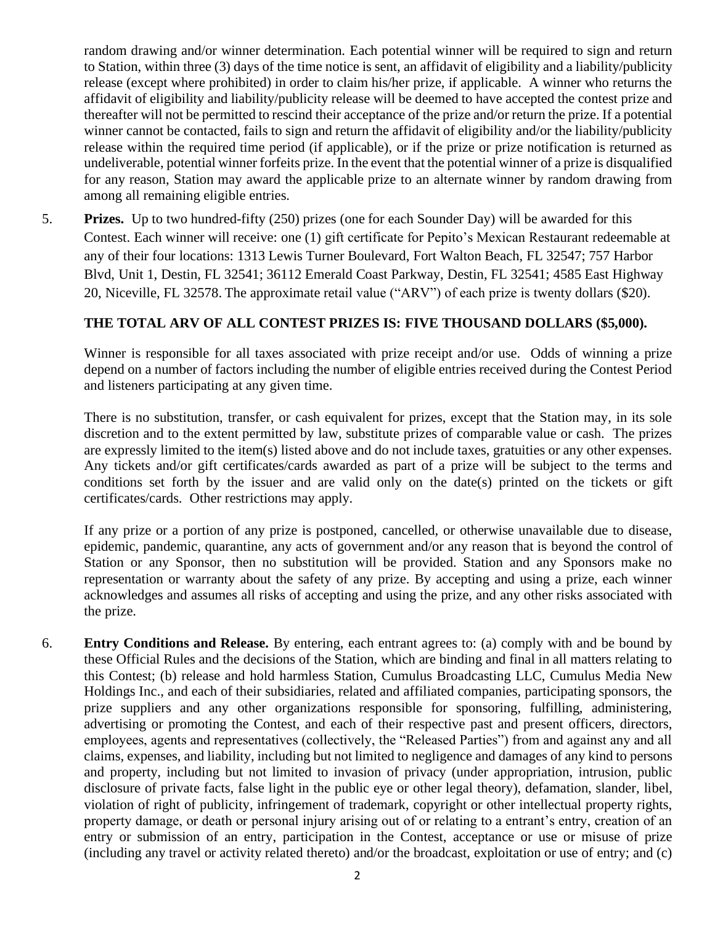random drawing and/or winner determination. Each potential winner will be required to sign and return to Station, within three (3) days of the time notice is sent, an affidavit of eligibility and a liability/publicity release (except where prohibited) in order to claim his/her prize, if applicable. A winner who returns the affidavit of eligibility and liability/publicity release will be deemed to have accepted the contest prize and thereafter will not be permitted to rescind their acceptance of the prize and/or return the prize. If a potential winner cannot be contacted, fails to sign and return the affidavit of eligibility and/or the liability/publicity release within the required time period (if applicable), or if the prize or prize notification is returned as undeliverable, potential winner forfeits prize. In the event that the potential winner of a prize is disqualified for any reason, Station may award the applicable prize to an alternate winner by random drawing from among all remaining eligible entries.

5. **Prizes.** Up to two hundred-fifty (250) prizes (one for each Sounder Day) will be awarded for this Contest. Each winner will receive: one (1) gift certificate for Pepito's Mexican Restaurant redeemable at any of their four locations: 1313 Lewis Turner Boulevard, Fort Walton Beach, FL 32547; 757 Harbor Blvd, Unit 1, Destin, FL 32541; 36112 Emerald Coast Parkway, Destin, FL 32541; 4585 East Highway 20, Niceville, FL 32578. The approximate retail value ("ARV") of each prize is twenty dollars (\$20).

## **THE TOTAL ARV OF ALL CONTEST PRIZES IS: FIVE THOUSAND DOLLARS (\$5,000).**

Winner is responsible for all taxes associated with prize receipt and/or use. Odds of winning a prize depend on a number of factors including the number of eligible entries received during the Contest Period and listeners participating at any given time.

There is no substitution, transfer, or cash equivalent for prizes, except that the Station may, in its sole discretion and to the extent permitted by law, substitute prizes of comparable value or cash. The prizes are expressly limited to the item(s) listed above and do not include taxes, gratuities or any other expenses. Any tickets and/or gift certificates/cards awarded as part of a prize will be subject to the terms and conditions set forth by the issuer and are valid only on the date(s) printed on the tickets or gift certificates/cards. Other restrictions may apply.

If any prize or a portion of any prize is postponed, cancelled, or otherwise unavailable due to disease, epidemic, pandemic, quarantine, any acts of government and/or any reason that is beyond the control of Station or any Sponsor, then no substitution will be provided. Station and any Sponsors make no representation or warranty about the safety of any prize. By accepting and using a prize, each winner acknowledges and assumes all risks of accepting and using the prize, and any other risks associated with the prize.

6. **Entry Conditions and Release.** By entering, each entrant agrees to: (a) comply with and be bound by these Official Rules and the decisions of the Station, which are binding and final in all matters relating to this Contest; (b) release and hold harmless Station, Cumulus Broadcasting LLC, Cumulus Media New Holdings Inc., and each of their subsidiaries, related and affiliated companies, participating sponsors, the prize suppliers and any other organizations responsible for sponsoring, fulfilling, administering, advertising or promoting the Contest, and each of their respective past and present officers, directors, employees, agents and representatives (collectively, the "Released Parties") from and against any and all claims, expenses, and liability, including but not limited to negligence and damages of any kind to persons and property, including but not limited to invasion of privacy (under appropriation, intrusion, public disclosure of private facts, false light in the public eye or other legal theory), defamation, slander, libel, violation of right of publicity, infringement of trademark, copyright or other intellectual property rights, property damage, or death or personal injury arising out of or relating to a entrant's entry, creation of an entry or submission of an entry, participation in the Contest, acceptance or use or misuse of prize (including any travel or activity related thereto) and/or the broadcast, exploitation or use of entry; and (c)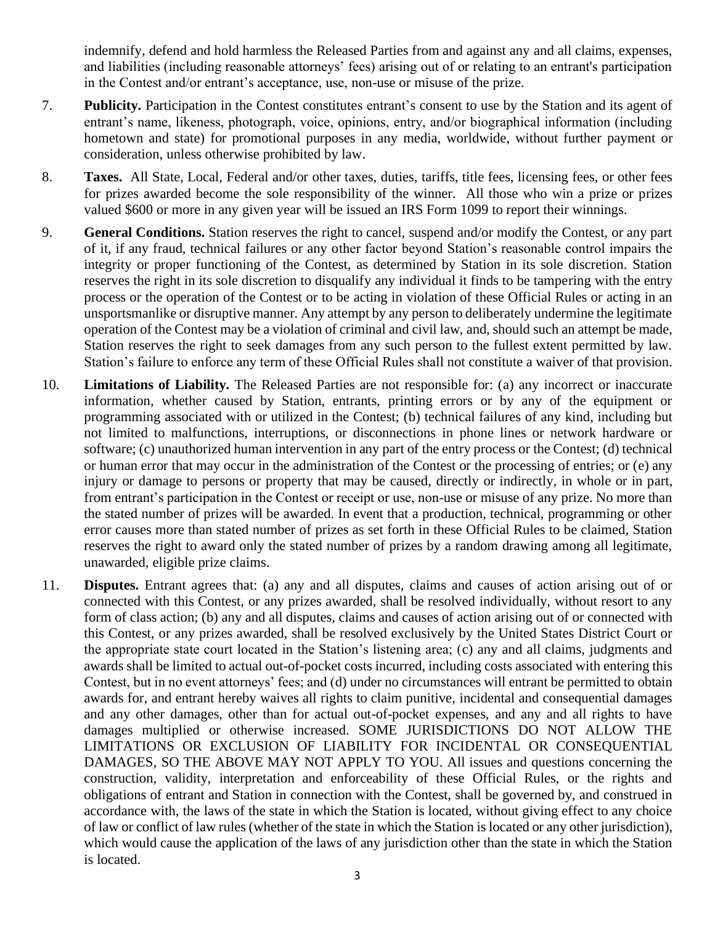indemnify, defend and hold harmless the Released Parties from and against any and all claims, expenses, and liabilities (including reasonable attorneys' fees) arising out of or relating to an entrant's participation in the Contest and/or entrant's acceptance, use, non-use or misuse of the prize.

- 7. **Publicity.** Participation in the Contest constitutes entrant's consent to use by the Station and its agent of entrant's name, likeness, photograph, voice, opinions, entry, and/or biographical information (including hometown and state) for promotional purposes in any media, worldwide, without further payment or consideration, unless otherwise prohibited by law.
- 8. **Taxes.** All State, Local, Federal and/or other taxes, duties, tariffs, title fees, licensing fees, or other fees for prizes awarded become the sole responsibility of the winner. All those who win a prize or prizes valued \$600 or more in any given year will be issued an IRS Form 1099 to report their winnings.
- 9. **General Conditions.** Station reserves the right to cancel, suspend and/or modify the Contest, or any part of it, if any fraud, technical failures or any other factor beyond Station's reasonable control impairs the integrity or proper functioning of the Contest, as determined by Station in its sole discretion. Station reserves the right in its sole discretion to disqualify any individual it finds to be tampering with the entry process or the operation of the Contest or to be acting in violation of these Official Rules or acting in an unsportsmanlike or disruptive manner. Any attempt by any person to deliberately undermine the legitimate operation of the Contest may be a violation of criminal and civil law, and, should such an attempt be made, Station reserves the right to seek damages from any such person to the fullest extent permitted by law. Station's failure to enforce any term of these Official Rules shall not constitute a waiver of that provision.
- 10. **Limitations of Liability.** The Released Parties are not responsible for: (a) any incorrect or inaccurate information, whether caused by Station, entrants, printing errors or by any of the equipment or programming associated with or utilized in the Contest; (b) technical failures of any kind, including but not limited to malfunctions, interruptions, or disconnections in phone lines or network hardware or software; (c) unauthorized human intervention in any part of the entry process or the Contest; (d) technical or human error that may occur in the administration of the Contest or the processing of entries; or (e) any injury or damage to persons or property that may be caused, directly or indirectly, in whole or in part, from entrant's participation in the Contest or receipt or use, non-use or misuse of any prize. No more than the stated number of prizes will be awarded. In event that a production, technical, programming or other error causes more than stated number of prizes as set forth in these Official Rules to be claimed, Station reserves the right to award only the stated number of prizes by a random drawing among all legitimate, unawarded, eligible prize claims.
- 11. **Disputes.** Entrant agrees that: (a) any and all disputes, claims and causes of action arising out of or connected with this Contest, or any prizes awarded, shall be resolved individually, without resort to any form of class action; (b) any and all disputes, claims and causes of action arising out of or connected with this Contest, or any prizes awarded, shall be resolved exclusively by the United States District Court or the appropriate state court located in the Station's listening area; (c) any and all claims, judgments and awards shall be limited to actual out-of-pocket costs incurred, including costs associated with entering this Contest, but in no event attorneys' fees; and (d) under no circumstances will entrant be permitted to obtain awards for, and entrant hereby waives all rights to claim punitive, incidental and consequential damages and any other damages, other than for actual out-of-pocket expenses, and any and all rights to have damages multiplied or otherwise increased. SOME JURISDICTIONS DO NOT ALLOW THE LIMITATIONS OR EXCLUSION OF LIABILITY FOR INCIDENTAL OR CONSEQUENTIAL DAMAGES, SO THE ABOVE MAY NOT APPLY TO YOU. All issues and questions concerning the construction, validity, interpretation and enforceability of these Official Rules, or the rights and obligations of entrant and Station in connection with the Contest, shall be governed by, and construed in accordance with, the laws of the state in which the Station is located, without giving effect to any choice of law or conflict of law rules (whether of the state in which the Station is located or any other jurisdiction), which would cause the application of the laws of any jurisdiction other than the state in which the Station is located.